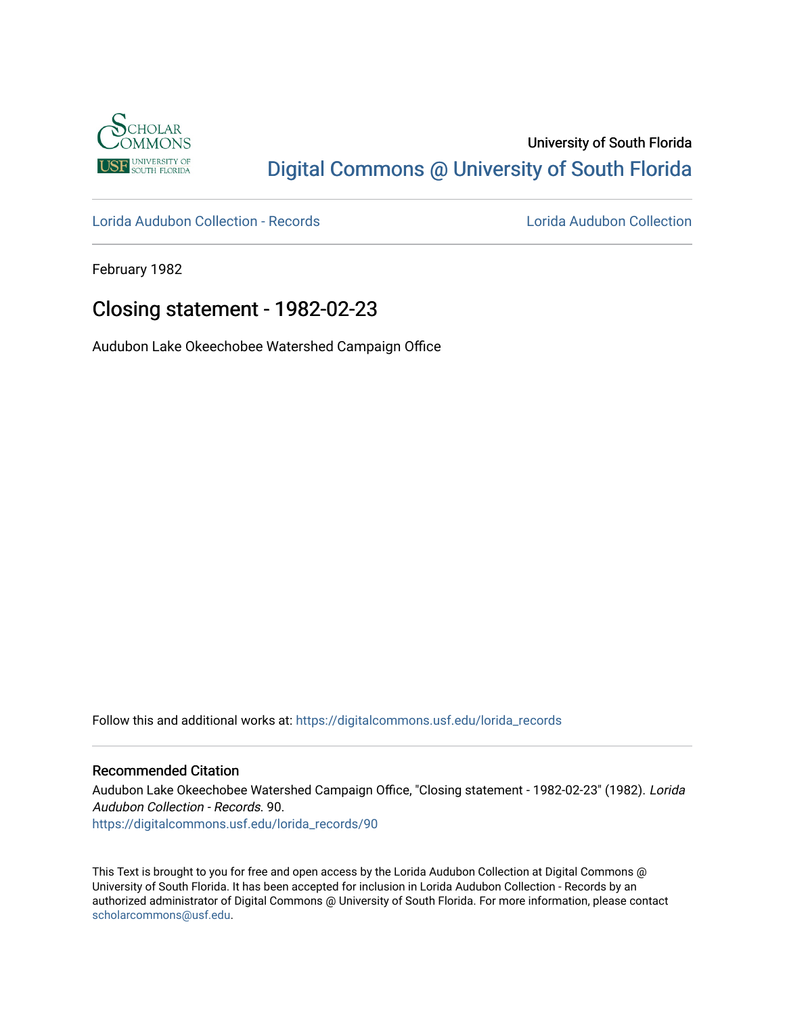

# University of South Florida [Digital Commons @ University of South Florida](https://digitalcommons.usf.edu/)

[Lorida Audubon Collection - Records](https://digitalcommons.usf.edu/lorida_records) [Lorida Audubon Collection](https://digitalcommons.usf.edu/lorida) 

February 1982

## Closing statement - 1982-02-23

Audubon Lake Okeechobee Watershed Campaign Office

Follow this and additional works at: [https://digitalcommons.usf.edu/lorida\\_records](https://digitalcommons.usf.edu/lorida_records?utm_source=digitalcommons.usf.edu%2Florida_records%2F90&utm_medium=PDF&utm_campaign=PDFCoverPages)

## Recommended Citation

Audubon Lake Okeechobee Watershed Campaign Office, "Closing statement - 1982-02-23" (1982). Lorida Audubon Collection - Records. 90. [https://digitalcommons.usf.edu/lorida\\_records/90](https://digitalcommons.usf.edu/lorida_records/90?utm_source=digitalcommons.usf.edu%2Florida_records%2F90&utm_medium=PDF&utm_campaign=PDFCoverPages) 

This Text is brought to you for free and open access by the Lorida Audubon Collection at Digital Commons @ University of South Florida. It has been accepted for inclusion in Lorida Audubon Collection - Records by an authorized administrator of Digital Commons @ University of South Florida. For more information, please contact [scholarcommons@usf.edu.](mailto:scholarcommons@usf.edu)